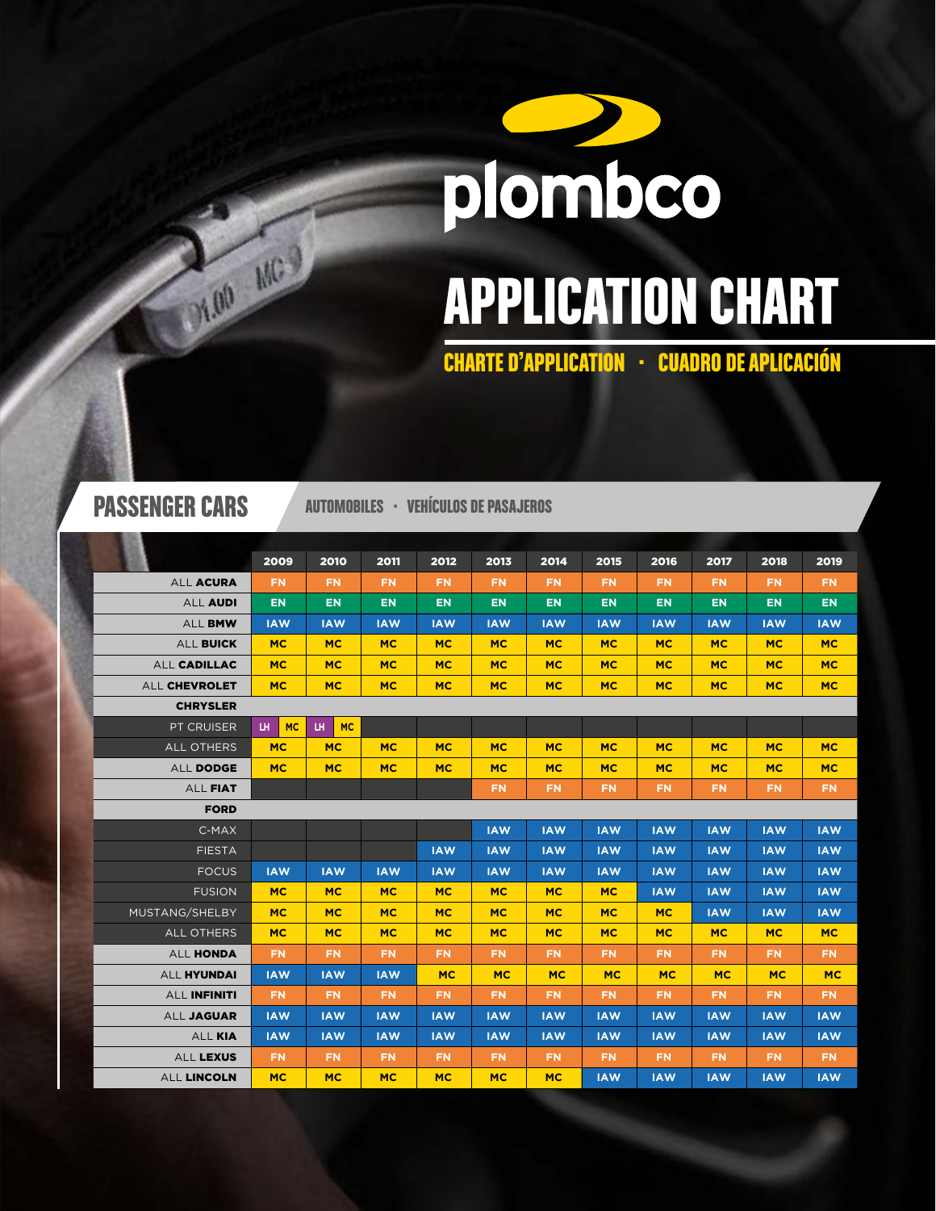# plombco APPLICATION CHART

CHARTE D'APPLICATION · CUADRO DE APLICACIÓN

DEAD MC

PASSENGER CARS AUTOMOBILES · VEHÍCULOS DE PASAJEROS

|                    | 2009             | 2010             | 2011       | 2012       | 2013       | 2014       | 2015       | 2016       | 2017       | 2018       | 2019       |
|--------------------|------------------|------------------|------------|------------|------------|------------|------------|------------|------------|------------|------------|
| ALL ACURA          | FN.              | <b>FN</b>        | <b>FN</b>  | <b>FN</b>  | FN.        | <b>FN</b>  | <b>FN</b>  | <b>FN</b>  | <b>FN</b>  | <b>FN</b>  | <b>FN</b>  |
| <b>ALL AUDI</b>    | <b>EN</b>        | <b>EN</b>        | <b>EN</b>  | <b>EN</b>  | <b>EN</b>  | EN.        | <b>EN</b>  | <b>EN</b>  | <b>EN</b>  | <b>EN</b>  | <b>EN</b>  |
| ALL BMW            | <b>IAW</b>       | <b>IAW</b>       | <b>IAW</b> | <b>IAW</b> | <b>IAW</b> | <b>IAW</b> | <b>IAW</b> | <b>IAW</b> | <b>IAW</b> | <b>IAW</b> | <b>IAW</b> |
| ALL BUICK          | <b>MC</b>        | <b>MC</b>        | <b>MC</b>  | <b>MC</b>  | <b>MC</b>  | <b>MC</b>  | <b>MC</b>  | <b>MC</b>  | <b>MC</b>  | <b>MC</b>  | <b>MC</b>  |
| ALL CADILLAC       | <b>MC</b>        | <b>MC</b>        | <b>MC</b>  | <b>MC</b>  | <b>MC</b>  | <b>MC</b>  | <b>MC</b>  | <b>MC</b>  | <b>MC</b>  | <b>MC</b>  | <b>MC</b>  |
| ALL CHEVROLET      | MC.              | <b>MC</b>        | <b>MC</b>  | <b>MC</b>  | <b>MC</b>  | <b>MC</b>  | <b>MC</b>  | <b>MC</b>  | <b>MC</b>  | <b>MC</b>  | <b>MC</b>  |
| <b>CHRYSLER</b>    |                  |                  |            |            |            |            |            |            |            |            |            |
| PT CRUISER         | <b>MC</b><br>LH. | LH.<br><b>MC</b> |            |            |            |            |            |            |            |            |            |
| <b>ALL OTHERS</b>  | <b>MC</b>        | <b>MC</b>        | <b>MC</b>  | <b>MC</b>  | <b>MC</b>  | <b>MC</b>  | <b>MC</b>  | <b>MC</b>  | <b>MC</b>  | <b>MC</b>  | <b>MC</b>  |
| ALL DODGE          | <b>MC</b>        | <b>MC</b>        | <b>MC</b>  | <b>MC</b>  | <b>MC</b>  | <b>MC</b>  | <b>MC</b>  | <b>MC</b>  | <b>MC</b>  | <b>MC</b>  | <b>MC</b>  |
| ALL FIAT           |                  |                  |            |            | FN.        | FN.        | <b>FN</b>  | <b>FN</b>  | FN.        | <b>FN</b>  | FN.        |
| <b>FORD</b>        |                  |                  |            |            |            |            |            |            |            |            |            |
| C-MAX              |                  |                  |            |            | <b>IAW</b> | <b>IAW</b> | <b>IAW</b> | <b>IAW</b> | <b>IAW</b> | <b>IAW</b> | <b>IAW</b> |
| <b>FIESTA</b>      |                  |                  |            | <b>IAW</b> | <b>IAW</b> | <b>IAW</b> | <b>IAW</b> | <b>IAW</b> | <b>IAW</b> | <b>IAW</b> | <b>IAW</b> |
| <b>FOCUS</b>       | <b>IAW</b>       | <b>IAW</b>       | <b>IAW</b> | <b>IAW</b> | <b>IAW</b> | <b>IAW</b> | <b>IAW</b> | <b>IAW</b> | <b>IAW</b> | <b>IAW</b> | <b>IAW</b> |
| <b>FUSION</b>      | <b>MC</b>        | <b>MC</b>        | <b>MC</b>  | <b>MC</b>  | <b>MC</b>  | <b>MC</b>  | <b>MC</b>  | <b>IAW</b> | <b>IAW</b> | <b>IAW</b> | <b>IAW</b> |
| MUSTANG/SHELBY     | MC.              | <b>MC</b>        | <b>MC</b>  | <b>MC</b>  | <b>MC</b>  | <b>MC</b>  | <b>MC</b>  | <b>MC</b>  | <b>IAW</b> | <b>IAW</b> | <b>IAW</b> |
| <b>ALL OTHERS</b>  | <b>MC</b>        | <b>MC</b>        | <b>MC</b>  | <b>MC</b>  | <b>MC</b>  | <b>MC</b>  | <b>MC</b>  | <b>MC</b>  | <b>MC</b>  | <b>MC</b>  | <b>MC</b>  |
| ALL HONDA          | FN.              | FN.              | FN.        | <b>FN</b>  | FN.        | <b>FN</b>  | FN.        | <b>FN</b>  | FN.        | <b>FN</b>  | <b>FN</b>  |
| <b>ALL HYUNDAI</b> | <b>IAW</b>       | <b>IAW</b>       | <b>IAW</b> | <b>MC</b>  | <b>MC</b>  | <b>MC</b>  | <b>MC</b>  | <b>MC</b>  | <b>MC</b>  | <b>MC</b>  | <b>MC</b>  |
| ALL INFINITI       | FN.              | FN.              | FN.        | <b>FN</b>  | FN.        | FN.        | FN.        | <b>FN</b>  | FN.        | <b>FN</b>  | <b>FN</b>  |
| ALL JAGUAR         | <b>IAW</b>       | <b>IAW</b>       | <b>IAW</b> | <b>IAW</b> | <b>IAW</b> | <b>IAW</b> | <b>IAW</b> | <b>IAW</b> | <b>IAW</b> | <b>IAW</b> | <b>IAW</b> |
| ALL KIA            | <b>IAW</b>       | <b>IAW</b>       | <b>IAW</b> | <b>IAW</b> | <b>IAW</b> | <b>IAW</b> | <b>IAW</b> | <b>IAW</b> | <b>IAW</b> | <b>IAW</b> | <b>IAW</b> |
| ALL LEXUS          | FN.              | <b>FN</b>        | <b>FN</b>  | <b>FN</b>  | FN.        | <b>FN</b>  | FN.        | <b>FN</b>  | FN.        | <b>FN</b>  | <b>FN</b>  |
| ALL LINCOLN        | <b>MC</b>        | <b>MC</b>        | <b>MC</b>  | <b>MC</b>  | <b>MC</b>  | <b>MC</b>  | <b>IAW</b> | <b>IAW</b> | <b>IAW</b> | <b>IAW</b> | <b>IAW</b> |
|                    |                  |                  |            |            |            |            |            |            |            |            |            |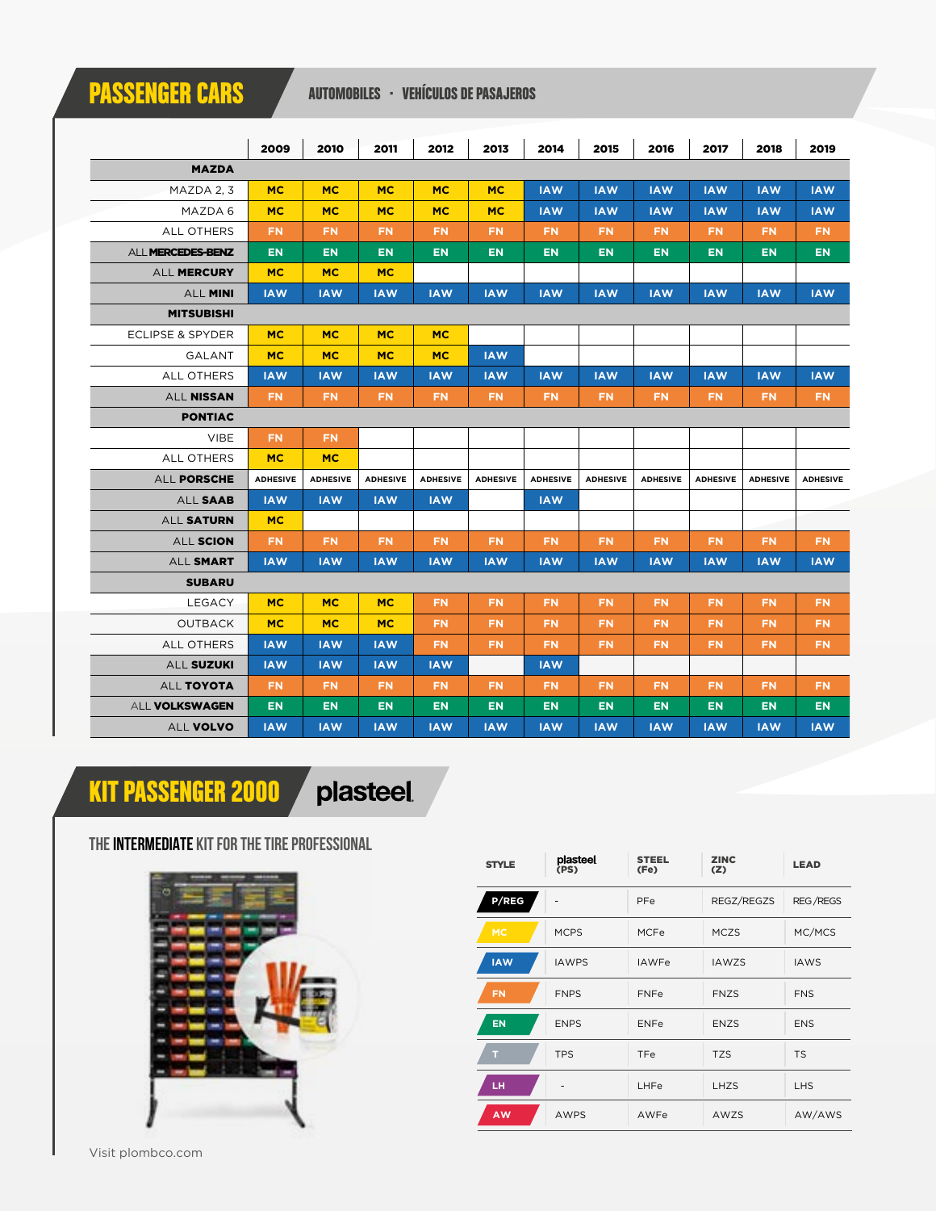## PASSENGER CARS AUTOMOBILES · VEHÍCULOS DE PASAJEROS

|                             | 2009            | 2010            | 2011            | 2012            | 2013            | 2014            | 2015            | 2016            | 2017            | 2018            | 2019            |  |  |
|-----------------------------|-----------------|-----------------|-----------------|-----------------|-----------------|-----------------|-----------------|-----------------|-----------------|-----------------|-----------------|--|--|
| <b>MAZDA</b>                |                 |                 |                 |                 |                 |                 |                 |                 |                 |                 |                 |  |  |
| MAZDA 2, 3                  | <b>MC</b>       | <b>MC</b>       | <b>MC</b>       | <b>MC</b>       | <b>MC</b>       | <b>IAW</b>      | <b>IAW</b>      | <b>IAW</b>      | <b>IAW</b>      | <b>IAW</b>      | <b>IAW</b>      |  |  |
| MAZDA 6                     | <b>MC</b>       | <b>MC</b>       | <b>MC</b>       | <b>MC</b>       | <b>MC</b>       | <b>IAW</b>      | <b>IAW</b>      | <b>IAW</b>      | <b>IAW</b>      | <b>IAW</b>      | <b>IAW</b>      |  |  |
| <b>ALL OTHERS</b>           | <b>FN</b>       | <b>FN</b>       | <b>FN</b>       | <b>FN</b>       | <b>FN</b>       | <b>FN</b>       | <b>FN</b>       | <b>FN</b>       | <b>FN</b>       | <b>FN</b>       | <b>FN</b>       |  |  |
| ALL MERCEDES-BENZ           | <b>EN</b>       | <b>EN</b>       | <b>EN</b>       | <b>EN</b>       | <b>EN</b>       | <b>EN</b>       | <b>EN</b>       | <b>EN</b>       | <b>EN</b>       | <b>EN</b>       | <b>EN</b>       |  |  |
| ALL MERCURY                 | <b>MC</b>       | <b>MC</b>       | <b>MC</b>       |                 |                 |                 |                 |                 |                 |                 |                 |  |  |
| ALL MINI                    | <b>IAW</b>      | <b>IAW</b>      | <b>IAW</b>      | <b>IAW</b>      | <b>IAW</b>      | <b>IAW</b>      | <b>IAW</b>      | <b>IAW</b>      | <b>IAW</b>      | <b>IAW</b>      | <b>IAW</b>      |  |  |
| <b>MITSUBISHI</b>           |                 |                 |                 |                 |                 |                 |                 |                 |                 |                 |                 |  |  |
| <b>ECLIPSE &amp; SPYDER</b> | <b>MC</b>       | <b>MC</b>       | <b>MC</b>       | <b>MC</b>       |                 |                 |                 |                 |                 |                 |                 |  |  |
| GALANT                      | <b>MC</b>       | <b>MC</b>       | <b>MC</b>       | <b>MC</b>       | <b>IAW</b>      |                 |                 |                 |                 |                 |                 |  |  |
| <b>ALL OTHERS</b>           | <b>IAW</b>      | <b>IAW</b>      | <b>IAW</b>      | <b>IAW</b>      | <b>IAW</b>      | <b>IAW</b>      | <b>IAW</b>      | <b>IAW</b>      | <b>IAW</b>      | <b>IAW</b>      | <b>IAW</b>      |  |  |
| ALL NISSAN                  | <b>FN</b>       | <b>FN</b>       | <b>FN</b>       | <b>FN</b>       | FN.             | <b>FN</b>       | <b>FN</b>       | FN.             | <b>FN</b>       | <b>FN</b>       | <b>FN</b>       |  |  |
| <b>PONTIAC</b>              |                 |                 |                 |                 |                 |                 |                 |                 |                 |                 |                 |  |  |
| <b>VIBE</b>                 | <b>FN</b>       | <b>FN</b>       |                 |                 |                 |                 |                 |                 |                 |                 |                 |  |  |
| <b>ALL OTHERS</b>           | <b>MC</b>       | <b>MC</b>       |                 |                 |                 |                 |                 |                 |                 |                 |                 |  |  |
| ALL PORSCHE                 | <b>ADHESIVE</b> | <b>ADHESIVE</b> | <b>ADHESIVE</b> | <b>ADHESIVE</b> | <b>ADHESIVE</b> | <b>ADHESIVE</b> | <b>ADHESIVE</b> | <b>ADHESIVE</b> | <b>ADHESIVE</b> | <b>ADHESIVE</b> | <b>ADHESIVE</b> |  |  |
| ALL SAAB                    | <b>IAW</b>      | <b>IAW</b>      | <b>IAW</b>      | <b>IAW</b>      |                 | <b>IAW</b>      |                 |                 |                 |                 |                 |  |  |
| ALL SATURN                  | <b>MC</b>       |                 |                 |                 |                 |                 |                 |                 |                 |                 |                 |  |  |
| ALL SCION                   | <b>FN</b>       | <b>FN</b>       | <b>FN</b>       | <b>FN</b>       | <b>FN</b>       | <b>FN</b>       | <b>FN</b>       | <b>FN</b>       | <b>FN</b>       | <b>FN</b>       | <b>FN</b>       |  |  |
| ALL SMART                   | <b>IAW</b>      | <b>IAW</b>      | <b>IAW</b>      | <b>IAW</b>      | <b>IAW</b>      | <b>IAW</b>      | <b>IAW</b>      | <b>IAW</b>      | <b>IAW</b>      | <b>IAW</b>      | <b>IAW</b>      |  |  |
| <b>SUBARU</b>               |                 |                 |                 |                 |                 |                 |                 |                 |                 |                 |                 |  |  |
| LEGACY                      | <b>MC</b>       | <b>MC</b>       | <b>MC</b>       | <b>FN</b>       | <b>FN</b>       | <b>FN</b>       | <b>FN</b>       | <b>FN</b>       | <b>FN</b>       | <b>FN</b>       | <b>FN</b>       |  |  |
| <b>OUTBACK</b>              | <b>MC</b>       | <b>MC</b>       | <b>MC</b>       | <b>FN</b>       | <b>FN</b>       | <b>FN</b>       | <b>FN</b>       | <b>FN</b>       | <b>FN</b>       | <b>FN</b>       | <b>FN</b>       |  |  |
| <b>ALL OTHERS</b>           | <b>IAW</b>      | <b>IAW</b>      | <b>IAW</b>      | <b>FN</b>       | FN              | <b>FN</b>       | <b>FN</b>       | FN              | FN              | <b>FN</b>       | <b>FN</b>       |  |  |
| ALL SUZUKI                  | <b>IAW</b>      | <b>IAW</b>      | <b>IAW</b>      | <b>IAW</b>      |                 | <b>IAW</b>      |                 |                 |                 |                 |                 |  |  |
| ALL TOYOTA                  | <b>FN</b>       | <b>FN</b>       | <b>FN</b>       | <b>FN</b>       | FN.             | FN              | <b>FN</b>       | <b>FN</b>       | FN              | <b>FN</b>       | <b>FN</b>       |  |  |
| <b>ALL VOLKSWAGEN</b>       | <b>EN</b>       | <b>EN</b>       | <b>EN</b>       | <b>EN</b>       | <b>EN</b>       | <b>EN</b>       | <b>EN</b>       | <b>EN</b>       | <b>EN</b>       | <b>EN</b>       | <b>EN</b>       |  |  |
| ALL VOLVO                   | <b>IAW</b>      | <b>IAW</b>      | <b>IAW</b>      | <b>IAW</b>      | <b>IAW</b>      | <b>IAW</b>      | <b>IAW</b>      | <b>IAW</b>      | <b>IAW</b>      | <b>IAW</b>      | <b>IAW</b>      |  |  |

## KIT PASSENGER 2000 **Diasteel**

### **THE INTERMEDIATE KIT FOR THE TIRE PROFESSIONAL**



| <b>STYLE</b> | plasteel<br>(PS) | <b>STEEL</b><br>(Fe) | <b>ZINC</b><br>(Z) | <b>LEAD</b>     |  |  |
|--------------|------------------|----------------------|--------------------|-----------------|--|--|
| <b>P/REG</b> |                  | PFe                  | REGZ/REGZS         | <b>REG/REGS</b> |  |  |
| <b>MC</b>    | <b>MCPS</b>      | <b>MCFe</b>          | <b>MCZS</b>        | MC/MCS          |  |  |
| <b>IAW</b>   | <b>IAWPS</b>     | <b>IAWFe</b>         | <b>IAWZS</b>       | <b>IAWS</b>     |  |  |
| <b>FN</b>    | <b>FNPS</b>      | <b>FNFe</b>          | <b>FNZS</b>        | <b>FNS</b>      |  |  |
| <b>EN</b>    | <b>ENPS</b>      | <b>ENFe</b>          | <b>ENZS</b>        | <b>ENS</b>      |  |  |
| т            | <b>TPS</b>       | TFe                  | <b>TZS</b>         | <b>TS</b>       |  |  |
| LН           |                  | LHFe                 | LHZS               | <b>LHS</b>      |  |  |
| AW           | <b>AWPS</b>      | AWFe                 | AWZS               | AW/AWS          |  |  |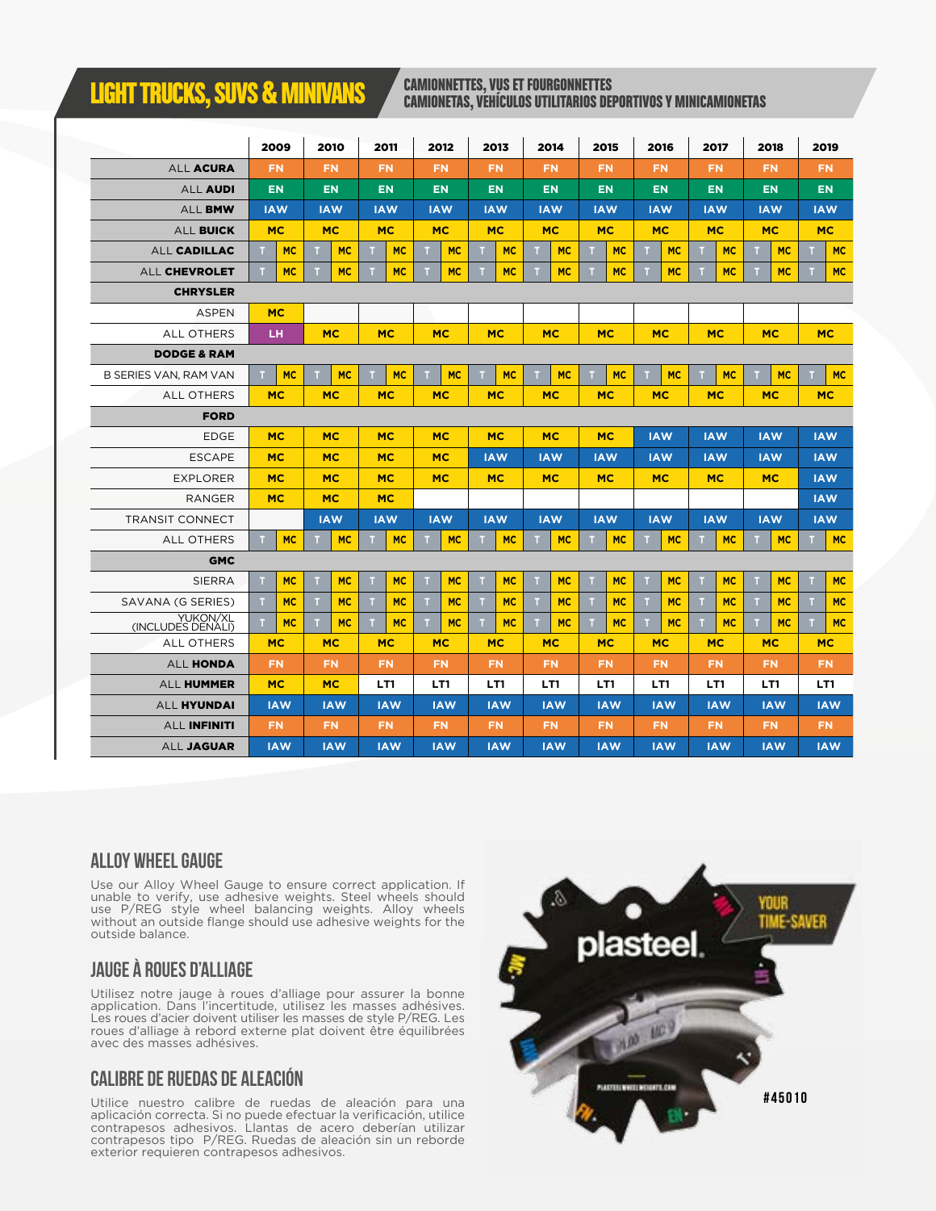## **LIGHT TRUCKS, SUVS & MINIVANS CAMIONNETTES, VUS ET FOURGONNETTES**

## CAMIONETAS, VEHÍCULOS UTILITARIOS DEPORTIVOS Y MINICAMIONETAS

|                               |    | 2009       |   | 2010       |           | 2011                   |    | 2012                   |                          | 2013                    |                          | 2014       | 2015       |            | 2016       |            | 2017       |            | 2018           |           | 2019       |           |
|-------------------------------|----|------------|---|------------|-----------|------------------------|----|------------------------|--------------------------|-------------------------|--------------------------|------------|------------|------------|------------|------------|------------|------------|----------------|-----------|------------|-----------|
| ALL ACURA                     |    | <b>FN</b>  |   | <b>FN</b>  |           | <b>FN</b>              |    | <b>FN</b>              |                          | <b>FN</b>               |                          | <b>FN</b>  |            | <b>FN</b>  |            | <b>FN</b>  | <b>FN</b>  |            | <b>FN</b>      |           | <b>FN</b>  |           |
| <b>ALL AUDI</b>               |    | <b>EN</b>  |   | <b>EN</b>  |           | <b>EN</b>              |    | <b>EN</b>              |                          | <b>EN</b>               |                          | <b>EN</b>  |            | <b>EN</b>  |            | <b>EN</b>  | <b>EN</b>  |            | <b>EN</b>      |           | <b>EN</b>  |           |
| <b>ALL BMW</b>                |    | <b>IAW</b> |   | <b>IAW</b> |           | <b>IAW</b>             |    | <b>IAW</b>             |                          | <b>IAW</b>              |                          | <b>IAW</b> |            | <b>IAW</b> |            | <b>IAW</b> | <b>IAW</b> |            | <b>IAW</b>     |           | <b>IAW</b> |           |
| <b>ALL BUICK</b>              |    | <b>MC</b>  |   | <b>MC</b>  |           | <b>MC</b>              |    | <b>MC</b>              |                          | <b>MC</b>               |                          | <b>MC</b>  |            | <b>MC</b>  |            | <b>MC</b>  |            | <b>MC</b>  | <b>MC</b>      |           | <b>MC</b>  |           |
| ALL CADILLAC                  | п  | <b>MC</b>  | п | <b>MC</b>  | т         | <b>MC</b>              | T. | <b>MC</b>              | m                        | <b>MC</b>               | п                        | <b>MC</b>  | т          | <b>MC</b>  | п          | <b>MC</b>  | ш          | <b>MC</b>  | т              | <b>MC</b> |            | <b>MC</b> |
| <b>ALL CHEVROLET</b>          | m  | <b>MC</b>  |   | <b>MC</b>  | т         | <b>MC</b>              | т  | <b>MC</b>              | ш                        | <b>MC</b>               | т                        | <b>MC</b>  | т          | <b>MC</b>  |            | <b>MC</b>  | m          | <b>MC</b>  | т              | <b>MC</b> |            | <b>MC</b> |
| <b>CHRYSLER</b>               |    |            |   |            |           |                        |    |                        |                          |                         |                          |            |            |            |            |            |            |            |                |           |            |           |
| <b>ASPEN</b>                  |    | <b>MC</b>  |   |            |           |                        |    |                        |                          |                         |                          |            |            |            |            |            |            |            |                |           |            |           |
| <b>ALL OTHERS</b>             |    | LН         |   | <b>MC</b>  |           | <b>MC</b>              |    | <b>MC</b>              |                          | <b>MC</b>               |                          | <b>MC</b>  |            | <b>MC</b>  |            | <b>MC</b>  |            | <b>MC</b>  | <b>MC</b>      |           | <b>MC</b>  |           |
| <b>DODGE &amp; RAM</b>        |    |            |   |            |           |                        |    |                        |                          |                         |                          |            |            |            |            |            |            |            |                |           |            |           |
| <b>B SERIES VAN, RAM VAN</b>  | n. | <b>MC</b>  |   | <b>MC</b>  | <b>MC</b> |                        | ш  | <b>MC</b>              |                          | <b>MC</b>               |                          | <b>MC</b>  | ш          | <b>MC</b>  |            | <b>MC</b>  | <b>MC</b>  |            | <b>MC</b><br>ш |           | <b>MC</b>  |           |
| <b>ALL OTHERS</b>             |    | <b>MC</b>  |   | <b>MC</b>  |           | <b>MC</b>              |    | <b>MC</b>              |                          | <b>MC</b>               |                          | <b>MC</b>  |            | <b>MC</b>  | <b>MC</b>  |            | <b>MC</b>  |            | <b>MC</b>      |           | <b>MC</b>  |           |
| <b>FORD</b>                   |    |            |   |            |           |                        |    |                        |                          |                         |                          |            |            |            |            |            |            |            |                |           |            |           |
| <b>EDGE</b>                   |    | <b>MC</b>  |   | <b>MC</b>  |           | <b>MC</b><br><b>MC</b> |    | <b>MC</b><br><b>MC</b> |                          | <b>MC</b><br><b>IAW</b> |                          | <b>IAW</b> |            | <b>IAW</b> |            | <b>IAW</b> |            |            |                |           |            |           |
| <b>ESCAPE</b>                 |    | <b>MC</b>  |   | <b>MC</b>  |           | <b>MC</b>              |    | <b>MC</b>              | <b>IAW</b><br><b>IAW</b> |                         | <b>IAW</b><br><b>IAW</b> |            | <b>IAW</b> |            | <b>IAW</b> |            | <b>IAW</b> |            |                |           |            |           |
| <b>EXPLORER</b>               |    | <b>MC</b>  |   | <b>MC</b>  |           | <b>MC</b>              |    | <b>MC</b>              | <b>MC</b><br><b>MC</b>   |                         | <b>MC</b><br><b>MC</b>   |            | <b>MC</b>  |            | <b>MC</b>  |            | <b>IAW</b> |            |                |           |            |           |
| <b>RANGER</b>                 |    | <b>MC</b>  |   | <b>MC</b>  |           | <b>MC</b>              |    |                        |                          |                         |                          |            |            |            |            |            |            | <b>IAW</b> |                |           |            |           |
| <b>TRANSIT CONNECT</b>        |    |            |   | <b>IAW</b> |           | <b>IAW</b>             |    | <b>IAW</b>             | <b>IAW</b>               |                         | <b>IAW</b>               |            | <b>IAW</b> |            | <b>IAW</b> |            | <b>IAW</b> |            | <b>IAW</b>     |           | <b>IAW</b> |           |
| ALL OTHERS                    | т  | <b>MC</b>  |   | <b>MC</b>  |           | <b>MC</b>              | T. | <b>MC</b>              |                          | <b>MC</b>               |                          | <b>MC</b>  | т          | <b>MC</b>  |            | <b>MC</b>  |            | <b>MC</b>  | т              | <b>MC</b> |            | <b>MC</b> |
| <b>GMC</b>                    |    |            |   |            |           |                        |    |                        |                          |                         |                          |            |            |            |            |            |            |            |                |           |            |           |
| <b>SIERRA</b>                 | т  | <b>MC</b>  |   | <b>MC</b>  | т         | <b>MC</b>              | т  | <b>MC</b>              |                          | <b>MC</b>               | т                        | <b>MC</b>  | п          | <b>MC</b>  |            | <b>MC</b>  | т          | <b>MC</b>  | т              | <b>MC</b> |            | <b>MC</b> |
| SAVANA (G SERIES)             | m  | <b>MC</b>  |   | <b>MC</b>  | ш         | <b>MC</b>              | m  | <b>MC</b>              |                          | <b>MC</b>               | и                        | <b>MC</b>  | т          | <b>MC</b>  |            | <b>MC</b>  | м          | <b>MC</b>  | т              | <b>MC</b> |            | <b>MC</b> |
| YUKON/XL<br>(INCLUDES DENALI) | т  | <b>MC</b>  | т | <b>MC</b>  | T.        | <b>MC</b>              | T  | <b>MC</b>              | $\top$                   | <b>MC</b>               | T.                       | <b>MC</b>  | T          | <b>MC</b>  | т          | <b>MC</b>  | T.         | <b>MC</b>  | T.             | <b>MC</b> |            | <b>MC</b> |
| <b>ALL OTHERS</b>             |    | <b>MC</b>  |   | <b>MC</b>  |           | <b>MC</b>              |    | <b>MC</b>              |                          | <b>MC</b>               |                          | <b>MC</b>  |            | <b>MC</b>  |            | <b>MC</b>  |            | <b>MC</b>  |                | <b>MC</b> | <b>MC</b>  |           |
| <b>ALL HONDA</b>              |    | <b>FN</b>  |   | <b>FN</b>  |           | <b>FN</b>              |    | <b>FN</b>              |                          | <b>FN</b>               |                          | <b>FN</b>  |            | <b>FN</b>  |            | <b>FN</b>  |            | <b>FN</b>  |                | <b>FN</b> | <b>FN</b>  |           |
| ALL HUMMER                    |    | <b>MC</b>  |   | <b>MC</b>  |           | LT1                    |    | LT1                    |                          | LT1                     |                          | LT1        |            | LT1        | LT1        |            | LT1        |            |                | LT1       | LT1        |           |
| <b>ALL HYUNDAI</b>            |    | <b>IAW</b> |   | <b>IAW</b> |           | <b>IAW</b>             |    | <b>IAW</b>             |                          | <b>IAW</b>              |                          | <b>IAW</b> | <b>IAW</b> |            | <b>IAW</b> |            | <b>IAW</b> |            | <b>IAW</b>     |           | <b>IAW</b> |           |
| <b>ALL INFINITI</b>           |    | <b>FN</b>  |   | <b>FN</b>  |           | <b>FN</b>              |    | <b>FN</b>              |                          | <b>FN</b>               |                          | FN.        |            | <b>FN</b>  |            | <b>FN</b>  |            | <b>FN</b>  |                | <b>FN</b> | <b>FN</b>  |           |
| ALL JAGUAR                    |    | <b>IAW</b> |   | <b>IAW</b> |           | <b>IAW</b>             |    | <b>IAW</b>             |                          | <b>IAW</b>              |                          | <b>IAW</b> |            | <b>IAW</b> |            | <b>IAW</b> | <b>IAW</b> |            | <b>IAW</b>     |           | <b>IAW</b> |           |

#### **ALLOY WHEEL GAUGE**

Use our Alloy Wheel Gauge to ensure correct application. If unable to verify, use adhesive weights. Steel wheels should use P/REG style wheel balancing weights. Alloy wheels without an outside flange should use adhesive weights for the outside balance.

#### **JAUGE À ROUES D'ALLIAGE**

Utilisez notre jauge à roues d'alliage pour assurer la bonne application. Dans l'incertitude, utilisez les masses adhésives. Les roues d'acier doivent utiliser les masses de style P/REG. Les roues d'alliage à rebord externe plat doivent être équilibrées avec des masses adhésives.

#### **CALIBRE DE RUEDAS DE ALEACIÓN**

Utilice nuestro calibre de ruedas de aleación para una aplicación correcta. Si no puede efectuar la verificación, utilice contrapesos adhesivos. Llantas de acero deberían utilizar contrapesos tipo P/REG. Ruedas de aleación sin un reborde exterior requieren contrapesos adhesivos.